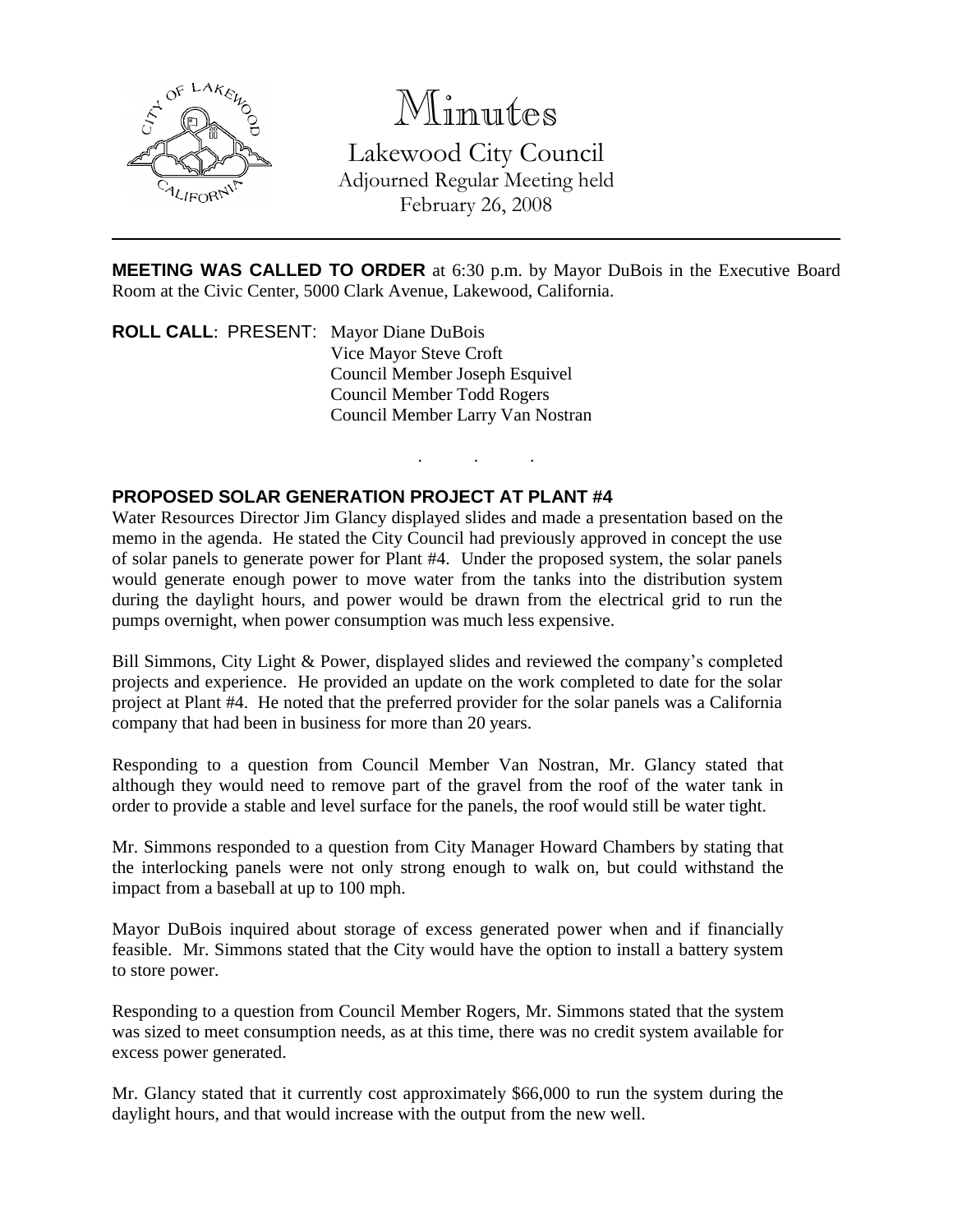

# Minutes

Lakewood City Council Adjourned Regular Meeting held February 26, 2008

**MEETING WAS CALLED TO ORDER** at 6:30 p.m. by Mayor DuBois in the Executive Board Room at the Civic Center, 5000 Clark Avenue, Lakewood, California.

. . .

**ROLL CALL**: PRESENT: Mayor Diane DuBois Vice Mayor Steve Croft Council Member Joseph Esquivel Council Member Todd Rogers Council Member Larry Van Nostran

## **PROPOSED SOLAR GENERATION PROJECT AT PLANT #4**

Water Resources Director Jim Glancy displayed slides and made a presentation based on the memo in the agenda. He stated the City Council had previously approved in concept the use of solar panels to generate power for Plant #4. Under the proposed system, the solar panels would generate enough power to move water from the tanks into the distribution system during the daylight hours, and power would be drawn from the electrical grid to run the pumps overnight, when power consumption was much less expensive.

Bill Simmons, City Light & Power, displayed slides and reviewed the company's completed projects and experience. He provided an update on the work completed to date for the solar project at Plant #4. He noted that the preferred provider for the solar panels was a California company that had been in business for more than 20 years.

Responding to a question from Council Member Van Nostran, Mr. Glancy stated that although they would need to remove part of the gravel from the roof of the water tank in order to provide a stable and level surface for the panels, the roof would still be water tight.

Mr. Simmons responded to a question from City Manager Howard Chambers by stating that the interlocking panels were not only strong enough to walk on, but could withstand the impact from a baseball at up to 100 mph.

Mayor DuBois inquired about storage of excess generated power when and if financially feasible. Mr. Simmons stated that the City would have the option to install a battery system to store power.

Responding to a question from Council Member Rogers, Mr. Simmons stated that the system was sized to meet consumption needs, as at this time, there was no credit system available for excess power generated.

Mr. Glancy stated that it currently cost approximately \$66,000 to run the system during the daylight hours, and that would increase with the output from the new well.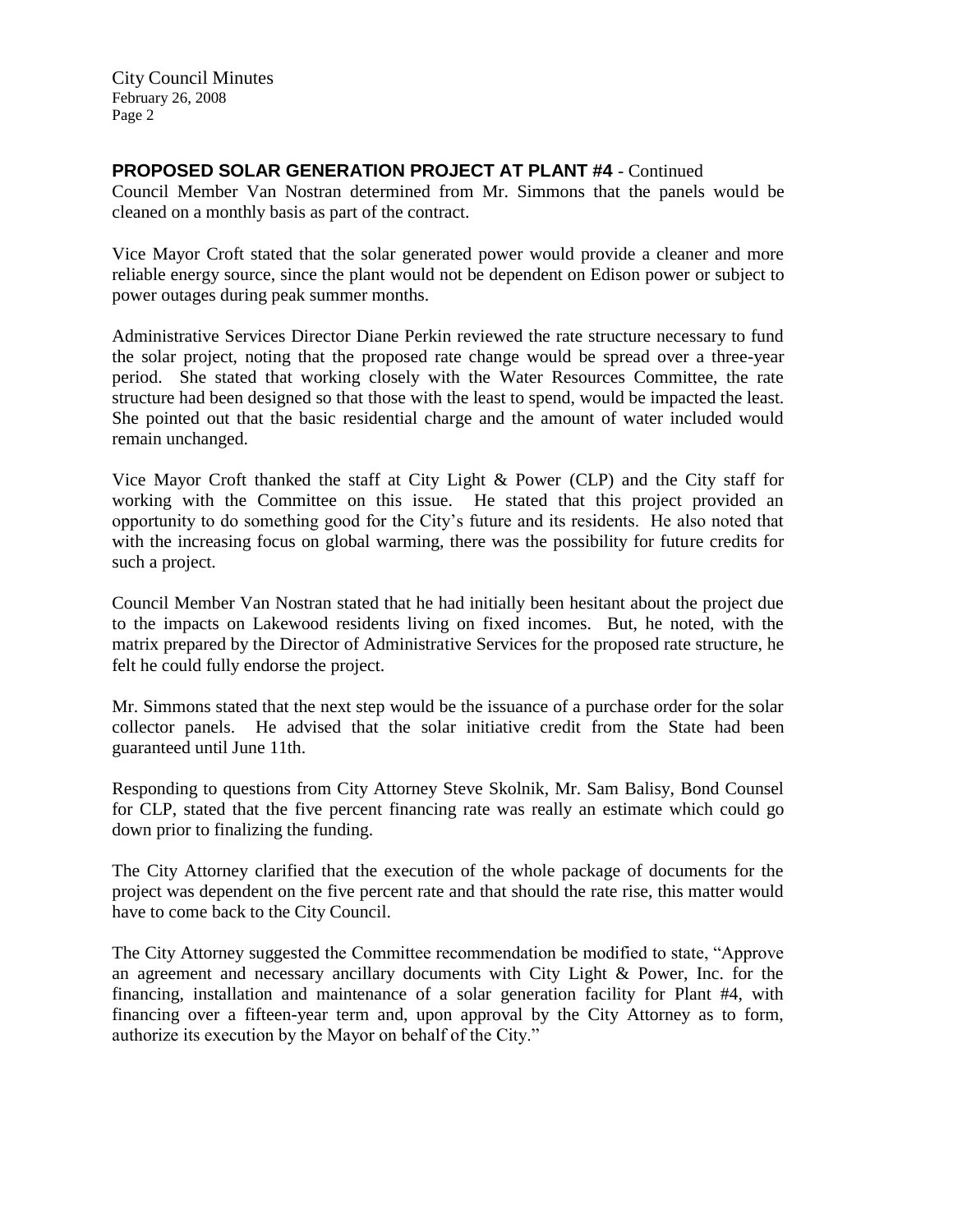City Council Minutes February 26, 2008 Page 2

### **PROPOSED SOLAR GENERATION PROJECT AT PLANT #4** - Continued

Council Member Van Nostran determined from Mr. Simmons that the panels would be cleaned on a monthly basis as part of the contract.

Vice Mayor Croft stated that the solar generated power would provide a cleaner and more reliable energy source, since the plant would not be dependent on Edison power or subject to power outages during peak summer months.

Administrative Services Director Diane Perkin reviewed the rate structure necessary to fund the solar project, noting that the proposed rate change would be spread over a three-year period. She stated that working closely with the Water Resources Committee, the rate structure had been designed so that those with the least to spend, would be impacted the least. She pointed out that the basic residential charge and the amount of water included would remain unchanged.

Vice Mayor Croft thanked the staff at City Light & Power (CLP) and the City staff for working with the Committee on this issue. He stated that this project provided an opportunity to do something good for the City's future and its residents. He also noted that with the increasing focus on global warming, there was the possibility for future credits for such a project.

Council Member Van Nostran stated that he had initially been hesitant about the project due to the impacts on Lakewood residents living on fixed incomes. But, he noted, with the matrix prepared by the Director of Administrative Services for the proposed rate structure, he felt he could fully endorse the project.

Mr. Simmons stated that the next step would be the issuance of a purchase order for the solar collector panels. He advised that the solar initiative credit from the State had been guaranteed until June 11th.

Responding to questions from City Attorney Steve Skolnik, Mr. Sam Balisy, Bond Counsel for CLP, stated that the five percent financing rate was really an estimate which could go down prior to finalizing the funding.

The City Attorney clarified that the execution of the whole package of documents for the project was dependent on the five percent rate and that should the rate rise, this matter would have to come back to the City Council.

The City Attorney suggested the Committee recommendation be modified to state, "Approve an agreement and necessary ancillary documents with City Light & Power, Inc. for the financing, installation and maintenance of a solar generation facility for Plant #4, with financing over a fifteen-year term and, upon approval by the City Attorney as to form, authorize its execution by the Mayor on behalf of the City."